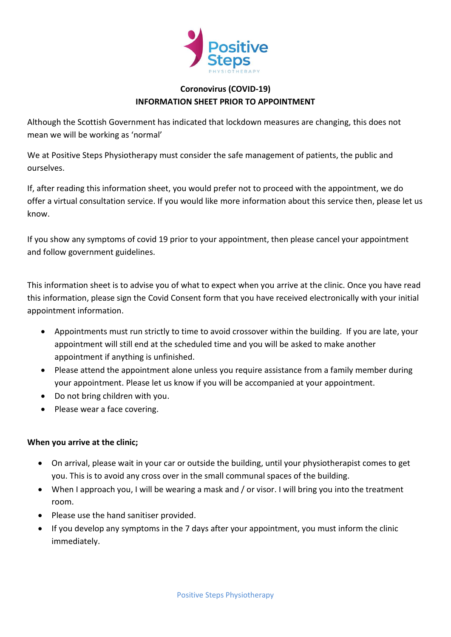

## **Coronovirus (COVID-19) INFORMATION SHEET PRIOR TO APPOINTMENT**

Although the Scottish Government has indicated that lockdown measures are changing, this does not mean we will be working as 'normal'

We at Positive Steps Physiotherapy must consider the safe management of patients, the public and ourselves.

If, after reading this information sheet, you would prefer not to proceed with the appointment, we do offer a virtual consultation service. If you would like more information about this service then, please let us know.

If you show any symptoms of covid 19 prior to your appointment, then please cancel your appointment and follow government guidelines.

This information sheet is to advise you of what to expect when you arrive at the clinic. Once you have read this information, please sign the Covid Consent form that you have received electronically with your initial appointment information.

- Appointments must run strictly to time to avoid crossover within the building. If you are late, your appointment will still end at the scheduled time and you will be asked to make another appointment if anything is unfinished.
- Please attend the appointment alone unless you require assistance from a family member during your appointment. Please let us know if you will be accompanied at your appointment.
- Do not bring children with you.
- Please wear a face covering.

## **When you arrive at the clinic;**

- On arrival, please wait in your car or outside the building, until your physiotherapist comes to get you. This is to avoid any cross over in the small communal spaces of the building.
- When I approach you, I will be wearing a mask and / or visor. I will bring you into the treatment room.
- Please use the hand sanitiser provided.
- If you develop any symptoms in the 7 days after your appointment, you must inform the clinic immediately.